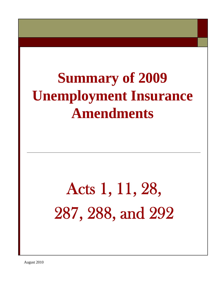## **Summary of 2009 Unemployment Insurance Amendments**

# Acts 1, 11, 28, 287, 288, and 292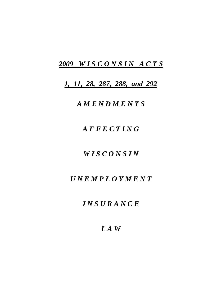## *2009 W I S C O N S I N A C T S*

*1, 11, 28, 287, 288, and 292*

## *A M E N D M E N T S*

## *A F F E C T I N G*

## *W I S C O N S I N*

## *U N E M P L O Y M E N T*

## *I N S U R A N C E*

## *L A W*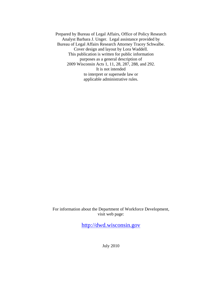Prepared by Bureau of Legal Affairs, Office of Policy Research Analyst Barbara J. Unger. Legal assistance provided by Bureau of Legal Affairs Research Attorney Tracey Schwalbe. Cover design and layout by Lora Waddell. This publication is written for public information purposes as a general description of 2009 Wisconsin Acts 1, 11, 28, 287, 288, and 292. It is not intended to interpret or supersede law or applicable administrative rules.

For information about the Department of Workforce Development, visit web page:

[http://dwd.wisconsin.gov](http://dwd.wisconsin.gov/)

July 2010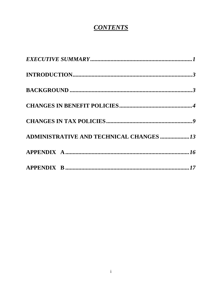## **CONTENTS**

| <b>ADMINISTRATIVE AND TECHNICAL CHANGES  13</b> |  |
|-------------------------------------------------|--|
|                                                 |  |
|                                                 |  |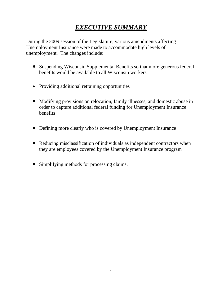## *EXECUTIVE SUMMARY*

During the 2009 session of the Legislature, various amendments affecting Unemployment Insurance were made to accommodate high levels of unemployment. The changes include:

- Suspending Wisconsin Supplemental Benefits so that more generous federal benefits would be available to all Wisconsin workers
- Providing additional retraining opportunities
- Modifying provisions on relocation, family illnesses, and domestic abuse in order to capture additional federal funding for Unemployment Insurance benefits
- Defining more clearly who is covered by Unemployment Insurance
- Reducing misclassification of individuals as independent contractors when they are employees covered by the Unemployment Insurance program
- Simplifying methods for processing claims.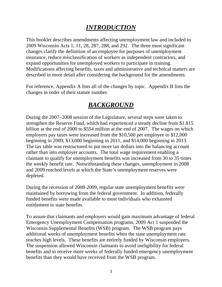## *INTRODUCTION*

<span id="page-5-0"></span>This booklet describes amendments affecting unemployment law and included in 2009 Wisconsin Acts 1, 11, 28, 287, 288, and 292. The three most significant changes clarify the definition of an employee for purposes of unemployment insurance, reduce misclassification of workers as independent contractors, and expand opportunities for unemployed workers to participate in training. Modifications affecting benefits, taxes and administrative and technical matters are described in more detail after considering the background for the amendments.

For reference, Appendix A lists all of the changes by topic. Appendix B lists the changes in order of their statute number.

## *BACKGROUND*

<span id="page-5-1"></span>During the 2007–2008 session of the Legislature, several steps were taken to strengthen the Reserve Fund, which had experienced a steady decline from \$1.815 billion at the end of 2000 to \$554 million at the end of 2007. The wages on which employers pay taxes were increased from the \$10,500 per employee to \$12,000 beginning in 2009, \$13,000 beginning in 2011, and \$14,000 beginning in 2013. The tax table was restructured to put more tax dollars into the balancing account rather than into employer accounts. The total wage requirement enabling a claimant to qualify for unemployment benefits was increased from 30 to 35 times the weekly benefit rate. Notwithstanding these changes, unemployment in 2008 and 2009 reached levels at which the State's unemployment reserves were depleted.

During the recession of 2008-2009, regular state unemployment benefits were maintained by borrowing from the federal government. In addition, federally funded benefits were made available to most individuals who exhausted entitlement to state benefits.

To assure that claimants and employers would gain maximum advantage of federal Emergency Unemployment Compensation programs, 2009 Act 1 suspended the Wisconsin Supplemental Benefits (WSB) program. The WSB program pays additional weeks of unemployment benefits when the state unemployment rate reaches high levels. These benefits are entirely funded by Wisconsin employers. The suspension allowed Wisconsin claimants to avoid ineligibility for federal benefits and to receive more weeks of federally funded emergency unemployment benefits than they would have received from the WSB program.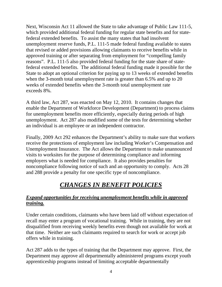Next, Wisconsin Act 11 allowed the State to take advantage of Public Law 111-5, which provided additional federal funding for regular state benefits and for statefederal extended benefits. To assist the many states that had insolvent unemployment reserve funds, P.L. 111-5 made federal funding available to states that revised or added provisions allowing claimants to receive benefits while in approved training or after separating from employment for "compelling family reasons". P.L. 111-5 also provided federal funding for the state share of statefederal extended benefits. The additional federal funding made it possible for the State to adopt an optional criterion for paying up to 13 weeks of extended benefits when the 3-month total unemployment rate is greater than 6.5% and up to 20 weeks of extended benefits when the 3-month total unemployment rate exceeds 8%.

A third law, Act 287, was enacted on May 12, 2010. It contains changes that enable the Department of Workforce Development (Department) to process claims for unemployment benefits more efficiently, especially during periods of high unemployment. Act 287 also modified some of the tests for determining whether an individual is an employee or an independent contractor.

Finally, 2009 Act 292 enhances the Department's ability to make sure that workers receive the protections of employment law including Worker's Compensation and Unemployment Insurance. The Act allows the Department to make unannounced visits to worksites for the purpose of determining compliance and informing employers what is needed for compliance. It also provides penalties for noncompliance following notice of such and an opportunity to comply. Acts 28 and 288 provide a penalty for one specific type of noncompliance.

## *CHANGES IN BENEFIT POLICIES*

#### <span id="page-6-0"></span>*Expand opportunities for receiving unemployment benefits while in approved training.*

Under certain conditions, claimants who have been laid off without expectation of recall may enter a program of vocational training. While in training, they are not disqualified from receiving weekly benefits even though not available for work at that time. Neither are such claimants required to search for work or accept job offers while in training.

Act 287 adds to the types of training that the Department may approve. First, the Department may approve all departmentally administered programs except youth apprenticeship programs instead of limiting acceptable departmentally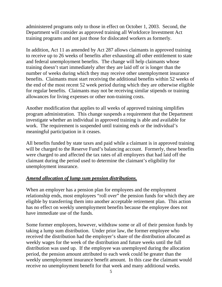administered programs only to those in effect on October 1, 2003. Second, the Department will consider as approved training all Workforce Investment Act training programs and not just those for dislocated workers as formerly.

In addition, Act 11 as amended by Act 287 allows claimants in approved training to receive up to 26 weeks of benefits after exhausting all other entitlement to state and federal unemployment benefits. The change will help claimants whose training doesn't start immediately after they are laid off or is longer than the number of weeks during which they may receive other unemployment insurance benefits. Claimants must start receiving the additional benefits within 52 weeks of the end of the most recent 52 week period during which they are otherwise eligible for regular benefits. Claimants may not be receiving similar stipends or training allowances for living expenses or other non-training costs.

Another modification that applies to all weeks of approved training simplifies program administration. This change suspends a requirement that the Department investigate whether an individual in approved training is able and available for work. The requirement is suspended until training ends or the individual's meaningful participation in it ceases.

All benefits funded by state taxes and paid while a claimant is in approved training will be charged to the Reserve Fund's balancing account. Formerly, these benefits were charged to and affected the tax rates of all employers that had laid off the claimant during the period used to determine the claimant's eligibility for unemployment insurance.

#### *Amend allocation of lump sum pension distributions.*

When an employer has a pension plan for employees and the employment relationship ends, most employees "roll over" the pension funds for which they are eligible by transferring them into another acceptable retirement plan. This action has no effect on weekly unemployment benefits because the employee does not have immediate use of the funds.

Some former employees, however, withdraw some or all of their pension funds by taking a lump sum distribution. Under prior law, the former employee who received the distribution had the employer's share of the distribution allocated as weekly wages for the week of the distribution and future weeks until the full distribution was used up. If the employee was unemployed during the allocation period, the pension amount attributed to each week could be greater than the weekly unemployment insurance benefit amount. In this case the claimant would receive no unemployment benefit for that week and many additional weeks.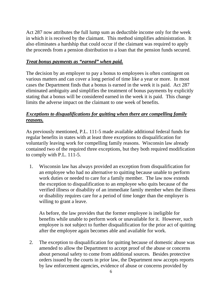Act 287 now attributes the full lump sum as deductible income only for the week in which it is received by the claimant. This method simplifies administration. It also eliminates a hardship that could occur if the claimant was required to apply the proceeds from a pension distribution to a loan that the pension funds secured.

#### *Treat bonus payments as "earned" when paid.*

The decision by an employer to pay a bonus to employees is often contingent on various matters and can cover a long period of time like a year or more. In most cases the Department finds that a bonus is earned in the week it is paid. Act 287 eliminated ambiguity and simplifies the treatment of bonus payments by explicitly stating that a bonus will be considered earned in the week it is paid. This change limits the adverse impact on the claimant to one week of benefits.

#### *Exceptions to disqualifications for quitting when there are compelling family reasons.*

As previously mentioned, P.L. 111-5 made available additional federal funds for regular benefits in states with at least three exceptions to disqualification for voluntarily leaving work for compelling family reasons. Wisconsin law already contained two of the required three exceptions, but they both required modification to comply with P.L. 111-5.

1. Wisconsin law has always provided an exception from disqualification for an employee who had no alternative to quitting because unable to perform work duties or needed to care for a family member. The law now extends the exception to disqualification to an employee who quits because of the verified illness or disability of an immediate family member when the illness or disability requires care for a period of time longer than the employer is willing to grant a leave.

As before, the law provides that the former employee is ineligible for benefits while unable to perform work or unavailable for it. However, such employee is not subject to further disqualification for the prior act of quitting after the employee again becomes able and available for work.

2. The exception to disqualification for quitting because of domestic abuse was amended to allow the Department to accept proof of the abuse or concerns about personal safety to come from additional sources. Besides protective orders issued by the courts in prior law, the Department now accepts reports by law enforcement agencies, evidence of abuse or concerns provided by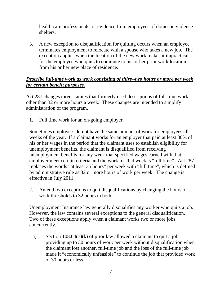health care professionals, or evidence from employees of domestic violence shelters.

3. A new exception to disqualification for quitting occurs when an employee terminates employment to relocate with a spouse who takes a new job. The exception applies when the location of the new work makes it impractical for the employee who quits to commute to his or her prior work location from his or her new place of residence.

#### *Describe full-time work as work consisting of thirty-two hours or more per week for certain benefit purposes.*

Act 287 changes three statutes that formerly used descriptions of full-time work other than 32 or more hours a week. These changes are intended to simplify administration of the program.

1. Full time work for an on-going employer.

Sometimes employers do not have the same amount of work for employees all weeks of the year. If a claimant works for an employer that paid at least 80% of his or her wages in the period that the claimant uses to establish eligibility for unemployment benefits, the claimant is disqualified from receiving unemployment benefits for any week that specified wages earned with that employer meet certain criteria and the work for that week is "full time". Act 287 replaces the words "at least 35 hours" per week with "full time", which is defined by administrative rule as 32 or more hours of work per week. The change is effective in July 2011.

2. Amend two exceptions to quit disqualifications by changing the hours of work thresholds to 32 hours in both.

Unemployment Insurance law generally disqualifies any worker who quits a job. However, the law contains several exceptions to the general disqualification. Two of these exceptions apply when a claimant works two or more jobs concurrently.

a) Section 108.04(7)(k) of prior law allowed a claimant to quit a job providing up to 30 hours of work per week without disqualification when the claimant lost another, full-time job and the loss of the full-time job made it "economically unfeasible" to continue the job that provided work of 30 hours or less.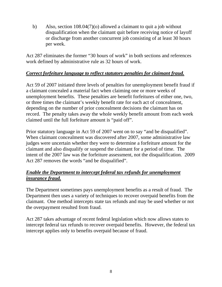b) Also, section 108.04(7)(o) allowed a claimant to quit a job without disqualification when the claimant quit before receiving notice of layoff or discharge from another concurrent job consisting of at least 30 hours per week.

Act 287 eliminates the former "30 hours of work" in both sections and references work defined by administrative rule as 32 hours of work.

#### *Correct forfeiture language to reflect statutory penalties for claimant fraud.*

Act 59 of 2007 initiated three levels of penalties for unemployment benefit fraud if a claimant concealed a material fact when claiming one or more weeks of unemployment benefits. These penalties are benefit forfeitures of either one, two, or three times the claimant's weekly benefit rate for each act of concealment, depending on the number of prior concealment decisions the claimant has on record. The penalty takes away the whole weekly benefit amount from each week claimed until the full forfeiture amount is "paid off".

Prior statutory language in Act 59 of 2007 went on to say "and be disqualified". When claimant concealment was discovered after 2007, some administrative law judges were uncertain whether they were to determine a forfeiture amount for the claimant and also disqualify or suspend the claimant for a period of time. The intent of the 2007 law was the forfeiture assessment, not the disqualification. 2009 Act 287 removes the words "and be disqualified".

#### *Enable the Department to intercept federal tax refunds for unemployment insurance fraud.*

The Department sometimes pays unemployment benefits as a result of fraud. The Department then uses a variety of techniques to recover overpaid benefits from the claimant. One method intercepts state tax refunds and may be used whether or not the overpayment resulted from fraud.

Act 287 takes advantage of recent federal legislation which now allows states to intercept federal tax refunds to recover overpaid benefits. However, the federal tax intercept applies only to benefits overpaid because of fraud.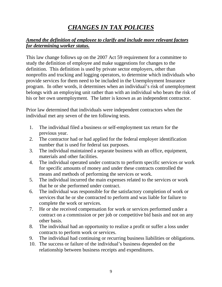## *CHANGES IN TAX POLICIES*

#### <span id="page-11-0"></span>*Amend the definition of employee to clarify and include more relevant factors for determining worker status.*

This law change follows up on the 2007 Act 59 requirement for a committee to study the definition of employee and make suggestions for changes to the definition. This definition is used by private sector employers, other than nonprofits and trucking and logging operators, to determine which individuals who provide services for them need to be included in the Unemployment Insurance program. In other words, it determines when an individual's risk of unemployment belongs with an employing unit rather than with an individual who bears the risk of his or her own unemployment. The latter is known as an independent contractor.

Prior law determined that individuals were independent contractors when the individual met any seven of the ten following tests.

- 1. The individual filed a business or self-employment tax return for the previous year.
- 2. The contractor had or had applied for the federal employer identification number that is used for federal tax purposes.
- 3. The individual maintained a separate business with an office, equipment, materials and other facilities.
- 4. The individual operated under contracts to perform specific services or work for specific amounts of money and under these contracts controlled the means and methods of performing the services or work.
- 5. The individual incurred the main expenses related to the services or work that he or she performed under contract.
- 6. The individual was responsible for the satisfactory completion of work or services that he or she contracted to perform and was liable for failure to complete the work or services.
- 7. He or she received compensation for work or services performed under a contract on a commission or per job or competitive bid basis and not on any other basis.
- 8. The individual had an opportunity to realize a profit or suffer a loss under contracts to perform work or services.
- 9. The individual had continuing or recurring business liabilities or obligations.
- 10. The success or failure of the individual's business depended on the relationship between business receipts and expenditures.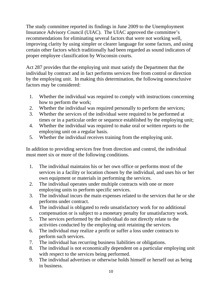The study committee reported its findings in June 2009 to the Unemployment Insurance Advisory Council (UIAC). The UIAC approved the committee's recommendations for eliminating several factors that were not working well, improving clarity by using simpler or clearer language for some factors, and using certain other factors which traditionally had been regarded as sound indicators of proper employee classification by Wisconsin courts.

Act 287 provides that the employing unit must satisfy the Department that the individual by contract and in fact performs services free from control or direction by the employing unit. In making this determination, the following nonexclusive factors may be considered:

- 1. Whether the individual was required to comply with instructions concerning how to perform the work;
- 2. Whether the individual was required personally to perform the services;
- 3. Whether the services of the individual were required to be performed at times or in a particular order or sequence established by the employing unit;
- 4. Whether the individual was required to make oral or written reports to the employing unit on a regular basis.
- 5. Whether the individual receives training from the employing unit.

In addition to providing services free from direction and control, the individual must meet six or more of the following conditions.

- 1. The individual maintains his or her own office or performs most of the services in a facility or location chosen by the individual, and uses his or her own equipment or materials in performing the services.
- 2. The individual operates under multiple contracts with one or more employing units to perform specific services.
- 3. The individual incurs the main expenses related to the services that he or she performs under contract.
- 4. The individual is obligated to redo unsatisfactory work for no additional compensation or is subject to a monetary penalty for unsatisfactory work.
- 5. The services performed by the individual do not directly relate to the activities conducted by the employing unit retaining the services.
- 6. The individual may realize a profit or suffer a loss under contracts to perform such services.
- 7. The individual has recurring business liabilities or obligations.
- 8. The individual is not economically dependent on a particular employing unit with respect to the services being performed.
- 9. The individual advertises or otherwise holds himself or herself out as being in business.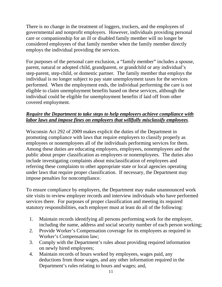There is no change in the treatment of loggers, truckers, and the employees of governmental and nonprofit employers. However, individuals providing personal care or companionship for an ill or disabled family member will no longer be considered employees of that family member when the family member directly employs the individual providing the services.

For purposes of the personal care exclusion, a "family member" includes a spouse, parent, natural or adopted child, grandparent, or grandchild or any individual's step-parent, step-child, or domestic partner. The family member that employs the individual is no longer subject to pay state unemployment taxes for the services performed. When the employment ends, the individual performing the care is not eligible to claim unemployment benefits based on these services, although the individual could be eligible for unemployment benefits if laid off from other covered employment.

#### *Require the Department to take steps to help employers achieve compliance with labor laws and impose fines on employers that willfully misclassify employees*.

Wisconsin Act 292 of 2009 makes explicit the duties of the Department in promoting compliance with laws that require employers to classify properly as employees or nonemployees all of the individuals performing services for them. Among these duties are educating employers, employees, nonemployees and the public about proper classification as employees or nonemployees. The duties also include investigating complaints about misclassification of employees and referring these complaints to other appropriate state or local agencies operating under laws that require proper classification. If necessary, the Department may impose penalties for noncompliance.

To ensure compliance by employers, the Department may make unannounced work site visits to review employer records and interview individuals who have performed services there. For purposes of proper classification and meeting its required statutory responsibilities, each employer must at least do all of the following:

- 1. Maintain records identifying all persons performing work for the employer, including the name, address and social security number of each person working;
- 2. Provide Worker's Compensation coverage for its employees as required in Worker's Compensation law;
- 3. Comply with the Department's rules about providing required information on newly hired employees;
- 4. Maintain records of hours worked by employees, wages paid, any deductions from those wages, and any other information required in the Department's rules relating to hours and wages; and,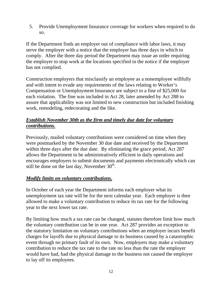5. Provide Unemployment Insurance coverage for workers when required to do so.

If the Department finds an employer out of compliance with labor laws, it may serve the employer with a notice that the employer has three days in which to comply. After the three day period the Department may issue an order requiring the employer to stop work at the locations specified in the notice if the employer has not complied.

Construction employers that misclassify an employee as a nonemployee willfully and with intent to evade any requirements of the laws relating to Worker's Compensation or Unemployment Insurance are subject to a fine of \$25,000 for each violation. The fine was included in Act 28, later amended by Act 288 to assure that applicability was not limited to new construction but included finishing work, remodeling, redecorating and the like.

#### *Establish November 30th as the firm and timely due date for voluntary contributions.*

Previously, mailed voluntary contributions were considered on time when they were postmarked by the November 30 due date and received by the Department within three days after the due date. By eliminating the grace period, Act 287 allows the Department to be administratively efficient in daily operations and encourages employers to submit documents and payments electronically which can still be done on the last day, November  $30<sup>th</sup>$ .

#### *Modify limits on voluntary contributions.*

In October of each year the Department informs each employer what its unemployment tax rate will be for the next calendar year. Each employer is then allowed to make a voluntary contribution to reduce its tax rate for the following year to the next lower tax rate.

By limiting how much a tax rate can be changed, statutes therefore limit how much the voluntary contribution can be in one year. Act 287 provides an exception to the statutory limitation on voluntary contributions when an employer incurs benefit charges for layoffs due to physical damage to its business caused by a catastrophic event through no primary fault of its own. Now, employers may make a voluntary contribution to reduce the tax rate to the rate no less than the rate the employer would have had, had the physical damage to the business not caused the employer to lay off its employees.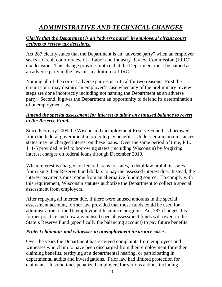## *ADMINISTRATIVE AND TECHNICAL CHANGES*

#### <span id="page-15-0"></span>*Clarify that the Department is an "adverse party" in employers' circuit court actions to review tax decisions.*

Act 287 clearly states that the Department is an "adverse party" when an employer seeks a circuit court review of a Labor and Industry Review Commission (LIRC) tax decision. This change provides notice that the Department must be named as an adverse party in the lawsuit in addition to LIRC.

Naming all of the correct adverse parties is critical for two reasons. First the circuit court may dismiss an employer's case when any of the preliminary review steps are done incorrectly including not naming the Department as an adverse party. Second, it gives the Department an opportunity to defend its determination of unemployment law.

#### *Amend the special assessment for interest to allow any unused balance to revert to the Reserve Fund.*

Since February 2009 the Wisconsin Unemployment Reserve Fund has borrowed from the federal government in order to pay benefits. Under certain circumstances states may be charged interest on these loans. Over the same period of time, P.L. 111-5 provided relief to borrowing states (including Wisconsin) by forgiving interest charges on federal loans through December 2010.

When interest is charged on federal loans to states, federal law prohibits states from using their Reserve Fund dollars to pay the assessed interest due. Instead, the interest payments must come from an alternative funding source. To comply with this requirement, Wisconsin statutes authorize the Department to collect a special assessment from employers.

After repaying all interest due, if there were unused amounts in the special assessment account, former law provided that those funds could be used for administration of the Unemployment Insurance program. Act 287 changes this former practice and now any unused special assessment funds will revert to the State's Reserve Fund (specifically the balancing account) to pay future benefits.

#### *Protect claimants and witnesses in unemployment insurance cases.*

Over the years the Department has received complaints from employees and witnesses who claim to have been discharged from their employment for either claiming benefits, testifying at a departmental hearing, or participating in departmental audits and investigations. Prior law had limited protection for claimants. It sometimes penalized employers for various actions including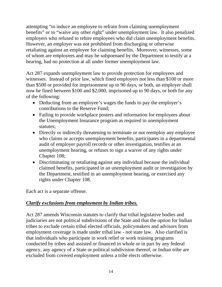attempting "to induce an employee to refrain from claiming unemployment benefits" or to "waive any other right" under unemployment law. It also penalized employers who refused to rehire employees who did claim unemployment benefits. However, an employer was not prohibited from discharging or otherwise retaliating against an employee for claiming benefits. Moreover, witnesses, some of whom are employees and may be subpoenaed by the Department to testify at a hearing, had no protection at all under former unemployment law.

Act 287 expands unemployment law to provide protection for employees and witnesses. Instead of prior law, which fined employers not less than \$100 or more than \$500 or provided for imprisonment up to 90 days, or both, an employer shall now be fined between \$100 and \$2,000, imprisoned up to 90 days, or both for any of the following:

- Deducting from an employee's wages the funds to pay the employer's contributions to the Reserve Fund;
- Failing to provide workplace posters and information for employees about the Unemployment Insurance program as required in unemployment statutes;
- Directly or indirectly threatening to terminate or not reemploy any employee who claims or accepts unemployment benefits, participates in a departmental audit of employer payroll records or other investigation, testifies at an unemployment hearing, or refuses to sign a waiver of any rights under Chapter 108;
- Discriminating or retaliating against any individual because the individual claimed benefits, participated in an unemployment audit or investigation by the Department, testified in an unemployment hearing, or exercised any rights under Chapter 108.

Each act is a separate offense.

#### *Clarify exclusions from employment by Indian tribes.*

Act 287 amends Wisconsin statutes to clarify that tribal legislative bodies and judiciaries are not political subdivisions of the State and that the option for Indian tribes to exclude certain tribal elected officials, policymakers and advisors from employment coverage is made under tribal law - not state law. Also clarified is that individuals who participate in work relief or work training programs conducted by tribes and assisted or financed in whole or in part by any federal agency, any agency of a State or political subdivision thereof, or Indian tribe are excluded from covered employment unless a tribe elects otherwise.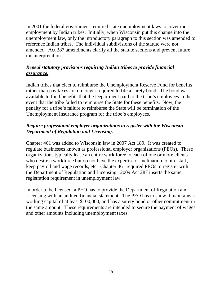In 2001 the federal government required state unemployment laws to cover most employment by Indian tribes. Initially, when Wisconsin put this change into the unemployment law, only the introductory paragraph to this section was amended to reference Indian tribes. The individual subdivisions of the statute were not amended. Act 287 amendments clarify all the statute sections and prevent future misinterpretation.

#### *Repeal statutory provisions requiring Indian tribes to provide financial assurance.*

Indian tribes that elect to reimburse the Unemployment Reserve Fund for benefits rather than pay taxes are no longer required to file a surety bond. The bond was available to fund benefits that the Department paid to the tribe's employees in the event that the tribe failed to reimburse the State for these benefits. Now, the penalty for a tribe's failure to reimburse the State will be termination of the Unemployment Insurance program for the tribe's employees.

#### *Require professional employer organizations to register with the Wisconsin Department of Regulation and Licensing.*

Chapter 461 was added to Wisconsin law in 2007 Act 189. It was created to regulate businesses known as professional employer organizations (PEOs). These organizations typically lease an entire work force to each of one or more clients who desire a workforce but do not have the expertise or inclination to hire staff, keep payroll and wage records, etc. Chapter 461 required PEOs to register with the Department of Regulation and Licensing. 2009 Act 287 inserts the same registration requirement in unemployment law.

In order to be licensed, a PEO has to provide the Department of Regulation and Licensing with an audited financial statement. The PEO has to show it maintains a working capital of at least \$100,000, and has a surety bond or other commitment in the same amount. These requirements are intended to secure the payment of wages and other amounts including unemployment taxes.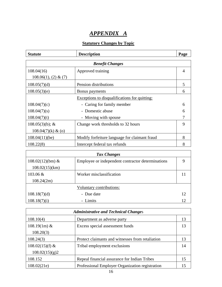## *APPENDIX A*

#### **Statutory Changes by Topic**

<span id="page-18-0"></span>

| <b>Statute</b>          | <b>Description</b>                                   | Page           |  |  |  |
|-------------------------|------------------------------------------------------|----------------|--|--|--|
| <b>Benefit Changes</b>  |                                                      |                |  |  |  |
| 108.04(16)              | Approved training                                    | $\overline{4}$ |  |  |  |
| $108.06(1), (2) \& (7)$ |                                                      |                |  |  |  |
| 108.05(7)(d)            | Pension distributions                                | 5              |  |  |  |
| 108.05(3)(e)            | Bonus payments                                       | 6              |  |  |  |
|                         | <b>Exceptions to disqualifications for quitting:</b> |                |  |  |  |
| 108.04(7)(c)            | - Caring for family member                           | 6              |  |  |  |
| 108.04(7)(s)            | Domestic abuse<br>$\overline{\phantom{0}}$           | 6              |  |  |  |
| 108.04(7)(t)            | Moving with spouse<br>$\overline{\phantom{0}}$       | 7              |  |  |  |
| $108.05(3)(b)$ ; &      | Change work thresholds to 32 hours                   | 9              |  |  |  |
| $108.04(7)(k)$ & (o)    |                                                      |                |  |  |  |
| $108.04(11)$ (be)       | Modify forfeiture language for claimant fraud        | 8              |  |  |  |
| 108.22(8)               | Intercept federal tax refunds                        | 8              |  |  |  |
|                         | <b>Tax Changes</b>                                   |                |  |  |  |
| $108.02(12)(bm)$ &      | Employee or independent contractor determinations    | 9              |  |  |  |
| 108.02(15)(km)          |                                                      |                |  |  |  |
| 103.06 &                | Worker misclassification                             | 11             |  |  |  |
|                         |                                                      |                |  |  |  |

| 108.24(2m)   |                          |  |
|--------------|--------------------------|--|
|              | Voluntary contributions: |  |
| 108.18(7)(d) | - Due date               |  |
| 108.18(7)(i) | - Limits                 |  |

| <b>Administrative and Technical Changes</b> |                                                  |    |  |  |
|---------------------------------------------|--------------------------------------------------|----|--|--|
| 108.10(4)                                   | Department as adverse party                      | 13 |  |  |
| $108.19(1m)$ &                              | Excess special assessment funds                  | 13 |  |  |
| 108.20(3)                                   |                                                  |    |  |  |
| 108.24(3)                                   | Protect claimants and witnesses from retaliation | 13 |  |  |
| $108.02(15)(f)$ &                           | Tribal employment exclusions                     | 14 |  |  |
| 108.02(15)(g)2                              |                                                  |    |  |  |
| 108.152                                     | Repeal financial assurance for Indian Tribes     | 15 |  |  |
| 108.02(21e)                                 | Professional Employer Organization registration  | 15 |  |  |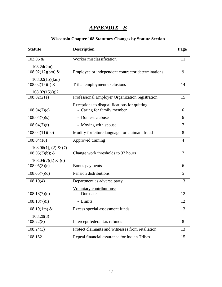## *APPENDIX B*

#### **Wisconsin Chapter 108 Statutory Changes by Statute Section**

<span id="page-19-0"></span>

| <b>Statute</b>                       | <b>Description</b>                                | Page           |
|--------------------------------------|---------------------------------------------------|----------------|
| 103.06 &                             | Worker misclassification                          | 11             |
|                                      |                                                   |                |
| 108.24(2m)<br>$108.02(12)(bm)$ &     | Employee or independent contractor determinations | 9              |
|                                      |                                                   |                |
| 108.02(15)(km)<br>108.02 $(15)(f)$ & | Tribal employment exclusions                      | 14             |
|                                      |                                                   |                |
| 108.02(15)(g)2<br>108.02(21e)        | Professional Employer Organization registration   | 15             |
|                                      | Exceptions to disqualifications for quitting:     |                |
| 108.04(7)(c)                         | - Caring for family member                        | 6              |
| 108.04(7)(s)                         | - Domestic abuse                                  | 6              |
| 108.04(7)(t)                         | - Moving with spouse                              | 7              |
| 108.04(11)(be)                       | Modify forfeiture language for claimant fraud     | 8              |
| 108.04(16)                           | Approved training                                 | 4              |
| 108.06(1), (2) & (7)                 |                                                   |                |
| $108.05(3)(b)$ ; &                   | Change work thresholds to 32 hours                | $\overline{7}$ |
| $108.04(7)(k)$ & (o)                 |                                                   |                |
| 108.05(3)(e)                         | Bonus payments                                    | 6              |
| 108.05(7)(d)                         | Pension distributions                             | 5              |
| 108.10(4)                            | Department as adverse party                       | 13             |
|                                      | Voluntary contributions:                          |                |
| 108.18(7)(d)                         | - Due date                                        | 12             |
| 108.18(7)(i)                         | - Limits                                          | 12             |
| $\overline{108.19(1m)}$ &            | Excess special assessment funds                   | 13             |
| 108.20(3)                            |                                                   |                |
| 108.22(8)                            | Intercept federal tax refunds                     | 8              |
| 108.24(3)                            | Protect claimants and witnesses from retaliation  | 13             |
| 108.152                              | Repeal financial assurance for Indian Tribes      | 15             |